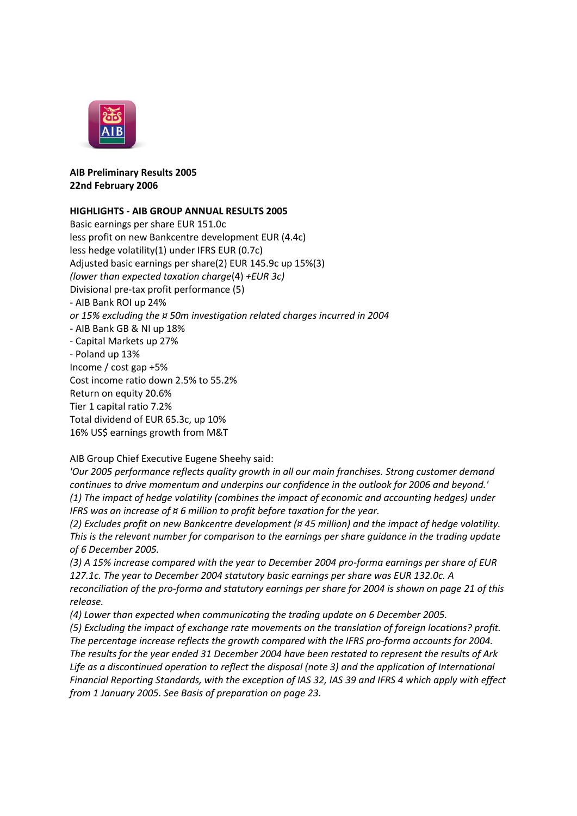

## **AIB Preliminary Results 2005 22nd February 2006**

## **HIGHLIGHTS - AIB GROUP ANNUAL RESULTS 2005**

Basic earnings per share EUR 151.0c less profit on new Bankcentre development EUR (4.4c) less hedge volatility(1) under IFRS EUR (0.7c) Adjusted basic earnings per share(2) EUR 145.9c up 15%(3) *(lower than expected taxation charge*(4) *+EUR 3c)* Divisional pre-tax profit performance (5) - AIB Bank ROI up 24% *or 15% excluding the ¤ 50m investigation related charges incurred in 2004* - AIB Bank GB & NI up 18% - Capital Markets up 27% - Poland up 13% Income / cost gap +5% Cost income ratio down 2.5% to 55.2% Return on equity 20.6% Tier 1 capital ratio 7.2% Total dividend of EUR 65.3c, up 10% 16% US\$ earnings growth from M&T

AIB Group Chief Executive Eugene Sheehy said:

*'Our 2005 performance reflects quality growth in all our main franchises. Strong customer demand continues to drive momentum and underpins our confidence in the outlook for 2006 and beyond.' (1) The impact of hedge volatility (combines the impact of economic and accounting hedges) under IFRS was an increase of ¤ 6 million to profit before taxation for the year.*

*(2) Excludes profit on new Bankcentre development (¤ 45 million) and the impact of hedge volatility. This is the relevant number for comparison to the earnings per share guidance in the trading update of 6 December 2005.*

*(3) A 15% increase compared with the year to December 2004 pro-forma earnings per share of EUR 127.1c. The year to December 2004 statutory basic earnings per share was EUR 132.0c. A reconciliation of the pro-forma and statutory earnings per share for 2004 is shown on page 21 of this release.*

*(4) Lower than expected when communicating the trading update on 6 December 2005.*

*(5) Excluding the impact of exchange rate movements on the translation of foreign locations? profit. The percentage increase reflects the growth compared with the IFRS pro-forma accounts for 2004. The results for the year ended 31 December 2004 have been restated to represent the results of Ark Life as a discontinued operation to reflect the disposal (note 3) and the application of International Financial Reporting Standards, with the exception of IAS 32, IAS 39 and IFRS 4 which apply with effect from 1 January 2005. See Basis of preparation on page 23.*